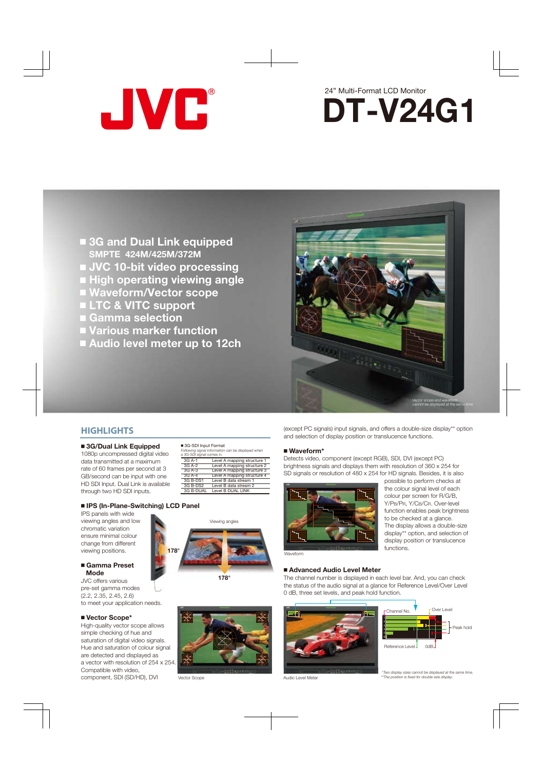



- **3G and Dual Link equipped SMPTE 424M/425M/372M**
- **JVC 10-bit video processing**
- **High operating viewing angle**
- **Waveform/Vector scope**
- **LTC & VITC support**
- **Gamma selection**
- **Various marker function**
- **Audio level meter up to 12ch**



(except PC signals) input signals, and offers a double-size display\*\* option

The channel number is displayed in each level bar. And, you can check the status of the audio signal at a glance for Reference Level/Over Level

and selection of display position or translucence functions.

Detects video, component (except RGB), SDI, DVI (except PC) brightness signals and displays them with resolution of 360 x 254 for

## **HIGHLIGHTS**

## **3G/Dual Link Equipped**

1080p uncompressed digital video data transmitted at a maximum rate of 60 frames per second at 3 GB/second can be input with one HD SDI Input. Dual Link is available through two HD SDI inputs.

|          | 3G-SDI Input Format<br>Following signal information can be displayed when<br>a 3G-SDI signal comes in. |  |  |  |
|----------|--------------------------------------------------------------------------------------------------------|--|--|--|
| 3G A-1   | Level A mapping structure 1                                                                            |  |  |  |
| 3G A-2   | Level A mapping structure 2                                                                            |  |  |  |
| 3G A-3   | Level A mapping structure 3                                                                            |  |  |  |
| 3G A-4   | Level A mapping structure 4                                                                            |  |  |  |
| 3G B-DS1 | Level B data stream 1                                                                                  |  |  |  |

## **IPS (In-Plane-Switching) LCD Panel**

IPS panels with wide viewing angles and low chromatic variation ensure minimal colour change from different viewing positions.

#### **Gamma Preset Mode**

JVC offers various pre-set gamma modes (2.2, 2.35, 2.45, 2.6) to meet your application needs.

#### **Vector Scope\***

High-quality vector scope allows simple checking of hue and saturation of digital video signals. Hue and saturation of colour signal are detected and displayed as a vector with resolution of 254 x 254. Compatible with video, component, SDI (SD/HD), DVI

| 3G A-3    | Level A mapping structure 3 |
|-----------|-----------------------------|
| $3G$ A-4  | Level A mapping structure 4 |
| 3G B-DS1  | Level B data stream 1       |
| 3G B-DS2  | Level B data stream 2       |
| 3G B-DUAL | Level B DUAL LINK           |
|           |                             |





**178°**



Vector Scope

**Advanced Audio Level Meter**

0 dB, three set levels, and peak hold function.

Audio Level Meter

Waveform

**Waveform\***



 *\*Two display sizes cannot be displayed at the same time. \*\*The position is fixed for double-size display.*